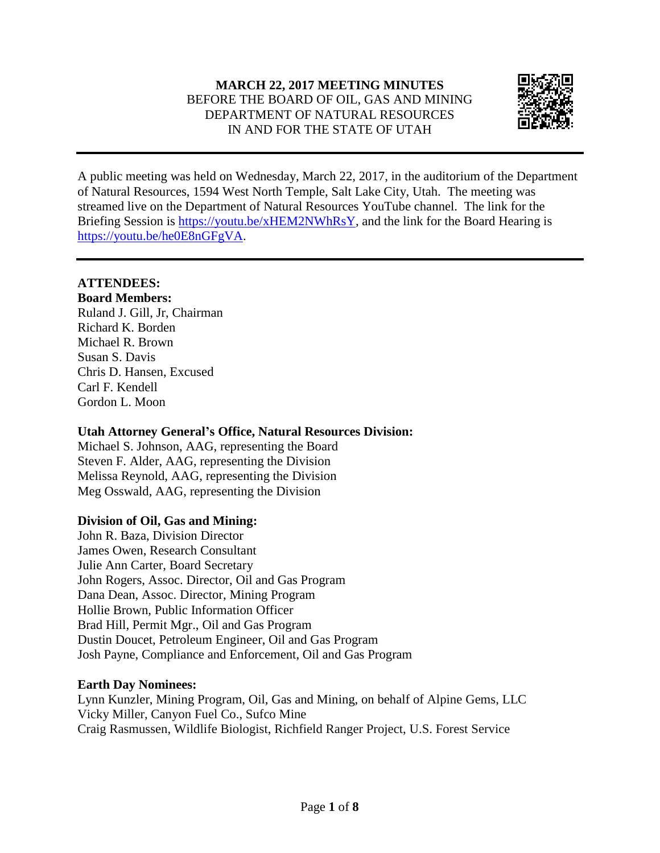## **MARCH 22, 2017 MEETING MINUTES** BEFORE THE BOARD OF OIL, GAS AND MINING DEPARTMENT OF NATURAL RESOURCES IN AND FOR THE STATE OF UTAH



A public meeting was held on Wednesday, March 22, 2017, in the auditorium of the Department of Natural Resources, 1594 West North Temple, Salt Lake City, Utah. The meeting was streamed live on the Department of Natural Resources YouTube channel. The link for the Briefing Session is [https://youtu.be/xHEM2NWhRsY,](https://youtu.be/xHEM2NWhRsY) and the link for the Board Hearing is [https://youtu.be/he0E8nGFgVA.](https://youtu.be/he0E8nGFgVA)

## **ATTENDEES:**

**Board Members:** Ruland J. Gill, Jr, Chairman Richard K. Borden Michael R. Brown Susan S. Davis Chris D. Hansen, Excused Carl F. Kendell Gordon L. Moon

## **Utah Attorney General's Office, Natural Resources Division:**

Michael S. Johnson, AAG, representing the Board Steven F. Alder, AAG, representing the Division Melissa Reynold, AAG, representing the Division Meg Osswald, AAG, representing the Division

## **Division of Oil, Gas and Mining:**

John R. Baza, Division Director James Owen, Research Consultant Julie Ann Carter, Board Secretary John Rogers, Assoc. Director, Oil and Gas Program Dana Dean, Assoc. Director, Mining Program Hollie Brown, Public Information Officer Brad Hill, Permit Mgr., Oil and Gas Program Dustin Doucet, Petroleum Engineer, Oil and Gas Program Josh Payne, Compliance and Enforcement, Oil and Gas Program

## **Earth Day Nominees:**

Lynn Kunzler, Mining Program, Oil, Gas and Mining, on behalf of Alpine Gems, LLC Vicky Miller, Canyon Fuel Co., Sufco Mine Craig Rasmussen, Wildlife Biologist, Richfield Ranger Project, U.S. Forest Service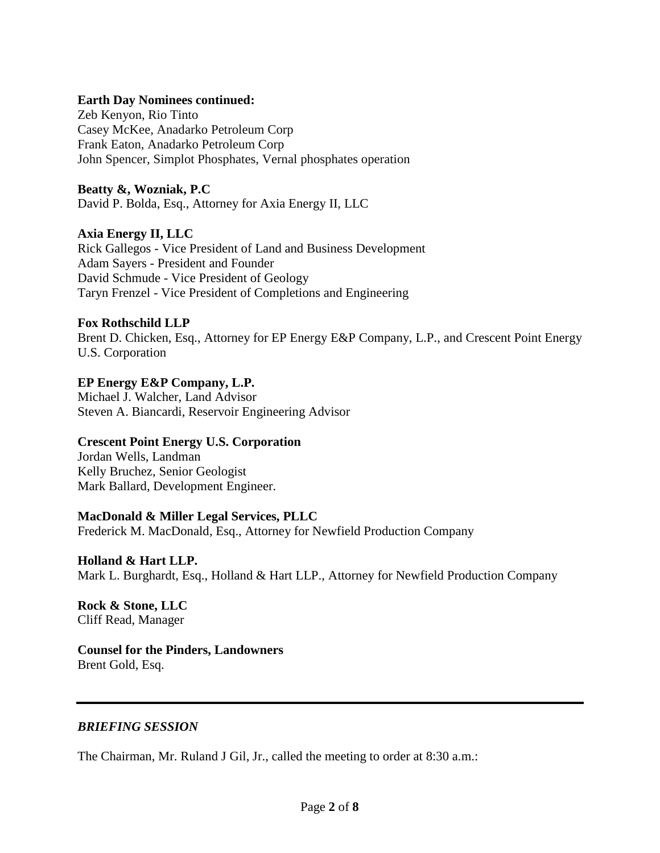#### **Earth Day Nominees continued:**

Zeb Kenyon, Rio Tinto Casey McKee, Anadarko Petroleum Corp Frank Eaton, Anadarko Petroleum Corp John Spencer, Simplot Phosphates, Vernal phosphates operation

#### **Beatty &, Wozniak, P.C**

David P. Bolda, Esq., Attorney for Axia Energy II, LLC

# **Axia Energy II, LLC**

Rick Gallegos - Vice President of Land and Business Development Adam Sayers - President and Founder David Schmude - Vice President of Geology Taryn Frenzel - Vice President of Completions and Engineering

#### **Fox Rothschild LLP**

Brent D. Chicken, Esq., Attorney for EP Energy E&P Company, L.P., and Crescent Point Energy U.S. Corporation

## **EP Energy E&P Company, L.P.**

Michael J. Walcher, Land Advisor Steven A. Biancardi, Reservoir Engineering Advisor

## **Crescent Point Energy U.S. Corporation**

Jordan Wells, Landman Kelly Bruchez, Senior Geologist Mark Ballard, Development Engineer.

## **MacDonald & Miller Legal Services, PLLC**

Frederick M. MacDonald, Esq., Attorney for Newfield Production Company

## **Holland & Hart LLP.**

Mark L. Burghardt, Esq., Holland & Hart LLP., Attorney for Newfield Production Company

#### **Rock & Stone, LLC** Cliff Read, Manager

## **Counsel for the Pinders, Landowners** Brent Gold, Esq.

## *BRIEFING SESSION*

The Chairman, Mr. Ruland J Gil, Jr., called the meeting to order at 8:30 a.m.: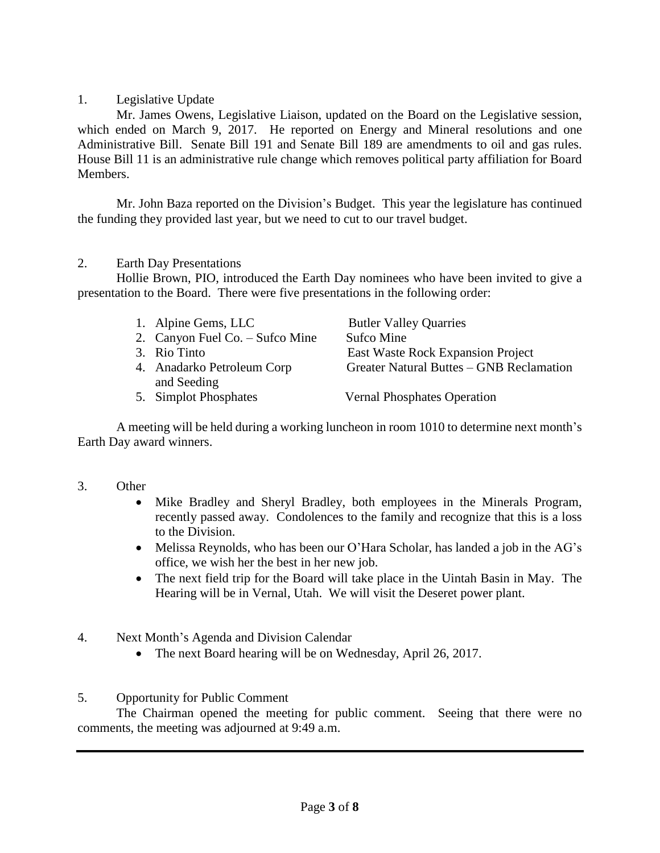1. Legislative Update

Mr. James Owens, Legislative Liaison, updated on the Board on the Legislative session, which ended on March 9, 2017. He reported on Energy and Mineral resolutions and one Administrative Bill. Senate Bill 191 and Senate Bill 189 are amendments to oil and gas rules. House Bill 11 is an administrative rule change which removes political party affiliation for Board Members.

Mr. John Baza reported on the Division's Budget. This year the legislature has continued the funding they provided last year, but we need to cut to our travel budget.

## 2. Earth Day Presentations

Hollie Brown, PIO, introduced the Earth Day nominees who have been invited to give a presentation to the Board. There were five presentations in the following order:

|  | 1. Alpine Gems, LLC |
|--|---------------------|
|--|---------------------|

2. Canyon Fuel Co. – Sufco Mine Sufco Mine

- 
- and Seeding

**Butler Valley Quarries** 3. Rio Tinto East Waste Rock Expansion Project 4. Anadarko Petroleum Corp Greater Natural Buttes – GNB Reclamation

5. Simplot Phosphates Vernal Phosphates Operation

A meeting will be held during a working luncheon in room 1010 to determine next month's Earth Day award winners.

- 3. Other
	- Mike Bradley and Sheryl Bradley, both employees in the Minerals Program, recently passed away. Condolences to the family and recognize that this is a loss to the Division.
	- Melissa Reynolds, who has been our O'Hara Scholar, has landed a job in the AG's office, we wish her the best in her new job.
	- The next field trip for the Board will take place in the Uintah Basin in May. The Hearing will be in Vernal, Utah. We will visit the Deseret power plant.
- 4. Next Month's Agenda and Division Calendar
	- The next Board hearing will be on Wednesday, April 26, 2017.
- 5. Opportunity for Public Comment

The Chairman opened the meeting for public comment. Seeing that there were no comments, the meeting was adjourned at 9:49 a.m.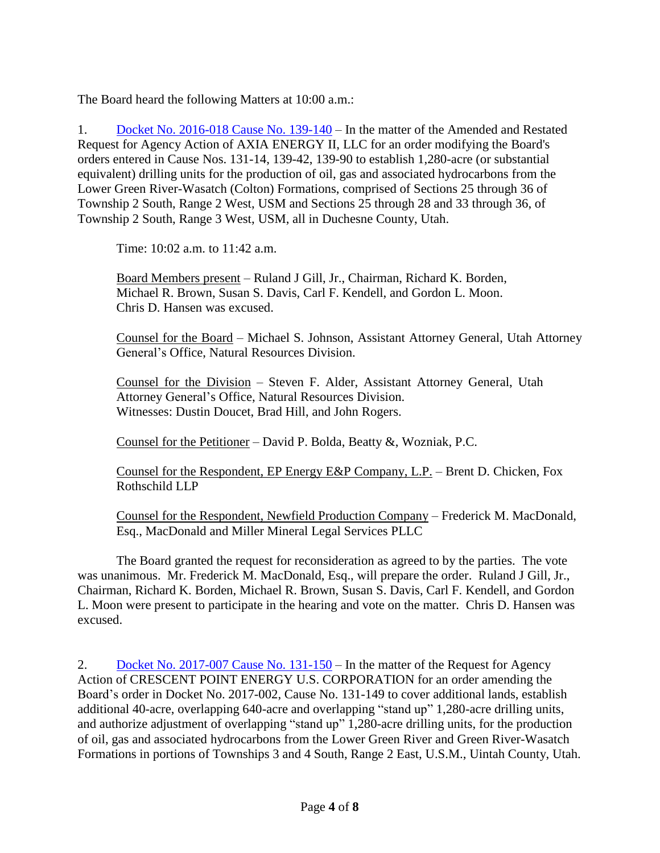The Board heard the following Matters at 10:00 a.m.:

1. Docket No. [2016-018](http://ogm.utah.gov/amr/boardtemp/redesign/2017/03_Mar/Dockets/2016-018_139-140_Axia.php) Cause No. 139-140 – In the matter of the Amended and Restated Request for Agency Action of AXIA ENERGY II, LLC for an order modifying the Board's orders entered in Cause Nos. 131-14, 139-42, 139-90 to establish 1,280-acre (or substantial equivalent) drilling units for the production of oil, gas and associated hydrocarbons from the Lower Green River-Wasatch (Colton) Formations, comprised of Sections 25 through 36 of Township 2 South, Range 2 West, USM and Sections 25 through 28 and 33 through 36, of Township 2 South, Range 3 West, USM, all in Duchesne County, Utah.

Time: 10:02 a.m. to 11:42 a.m.

Board Members present – Ruland J Gill, Jr., Chairman, Richard K. Borden, Michael R. Brown, Susan S. Davis, Carl F. Kendell, and Gordon L. Moon. Chris D. Hansen was excused.

Counsel for the Board – Michael S. Johnson, Assistant Attorney General, Utah Attorney General's Office, Natural Resources Division.

Counsel for the Division – Steven F. Alder, Assistant Attorney General, Utah Attorney General's Office, Natural Resources Division. Witnesses: Dustin Doucet, Brad Hill, and John Rogers.

Counsel for the Petitioner – David P. Bolda, Beatty &, Wozniak, P.C.

Counsel for the Respondent, EP Energy E&P Company, L.P. – Brent D. Chicken, Fox Rothschild LLP

Counsel for the Respondent, Newfield Production Company – Frederick M. MacDonald, Esq., MacDonald and Miller Mineral Legal Services PLLC

The Board granted the request for reconsideration as agreed to by the parties. The vote was unanimous. Mr. Frederick M. MacDonald, Esq., will prepare the order. Ruland J Gill, Jr., Chairman, Richard K. Borden, Michael R. Brown, Susan S. Davis, Carl F. Kendell, and Gordon L. Moon were present to participate in the hearing and vote on the matter. Chris D. Hansen was excused.

2. Docket No. [2017-007](http://ogm.utah.gov/amr/boardtemp/redesign/2017/03_Mar/Dockets/2017-007_131-150_Crescent.php) Cause No. 131-150 – In the matter of the Request for Agency Action of CRESCENT POINT ENERGY U.S. CORPORATION for an order amending the Board's order in Docket No. 2017-002, Cause No. 131-149 to cover additional lands, establish additional 40-acre, overlapping 640-acre and overlapping "stand up" 1,280-acre drilling units, and authorize adjustment of overlapping "stand up" 1,280-acre drilling units, for the production of oil, gas and associated hydrocarbons from the Lower Green River and Green River-Wasatch Formations in portions of Townships 3 and 4 South, Range 2 East, U.S.M., Uintah County, Utah.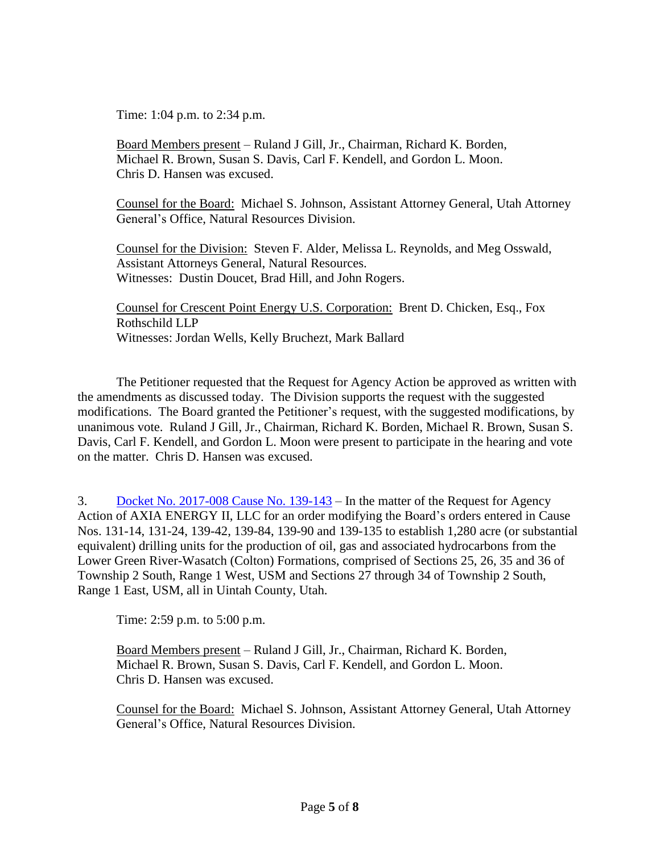Time: 1:04 p.m. to 2:34 p.m.

Board Members present – Ruland J Gill, Jr., Chairman, Richard K. Borden, Michael R. Brown, Susan S. Davis, Carl F. Kendell, and Gordon L. Moon. Chris D. Hansen was excused.

Counsel for the Board: Michael S. Johnson, Assistant Attorney General, Utah Attorney General's Office, Natural Resources Division.

Counsel for the Division: Steven F. Alder, Melissa L. Reynolds, and Meg Osswald, Assistant Attorneys General, Natural Resources. Witnesses: Dustin Doucet, Brad Hill, and John Rogers.

Counsel for Crescent Point Energy U.S. Corporation: Brent D. Chicken, Esq., Fox Rothschild LLP Witnesses: Jordan Wells, Kelly Bruchezt, Mark Ballard

The Petitioner requested that the Request for Agency Action be approved as written with the amendments as discussed today. The Division supports the request with the suggested modifications. The Board granted the Petitioner's request, with the suggested modifications, by unanimous vote. Ruland J Gill, Jr., Chairman, Richard K. Borden, Michael R. Brown, Susan S. Davis, Carl F. Kendell, and Gordon L. Moon were present to participate in the hearing and vote on the matter. Chris D. Hansen was excused.

3. Docket No. [2017-008](http://ogm.utah.gov/amr/boardtemp/redesign/2017/03_Mar/Dockets/2017-008_139-143_Axia.php) Cause No. 139-143 – In the matter of the Request for Agency Action of AXIA ENERGY II, LLC for an order modifying the Board's orders entered in Cause Nos. 131-14, 131-24, 139-42, 139-84, 139-90 and 139-135 to establish 1,280 acre (or substantial equivalent) drilling units for the production of oil, gas and associated hydrocarbons from the Lower Green River-Wasatch (Colton) Formations, comprised of Sections 25, 26, 35 and 36 of Township 2 South, Range 1 West, USM and Sections 27 through 34 of Township 2 South, Range 1 East, USM, all in Uintah County, Utah.

Time: 2:59 p.m. to 5:00 p.m.

Board Members present – Ruland J Gill, Jr., Chairman, Richard K. Borden, Michael R. Brown, Susan S. Davis, Carl F. Kendell, and Gordon L. Moon. Chris D. Hansen was excused.

Counsel for the Board: Michael S. Johnson, Assistant Attorney General, Utah Attorney General's Office, Natural Resources Division.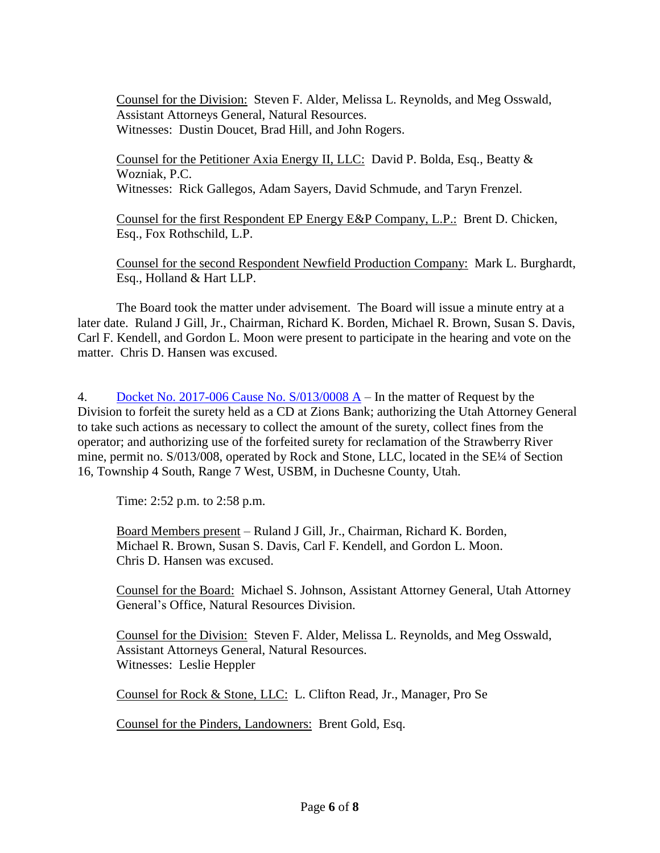Counsel for the Division: Steven F. Alder, Melissa L. Reynolds, and Meg Osswald, Assistant Attorneys General, Natural Resources. Witnesses: Dustin Doucet, Brad Hill, and John Rogers.

Counsel for the Petitioner Axia Energy II, LLC: David P. Bolda, Esq., Beatty & Wozniak, P.C. Witnesses: Rick Gallegos, Adam Sayers, David Schmude, and Taryn Frenzel.

Counsel for the first Respondent EP Energy E&P Company, L.P.: Brent D. Chicken, Esq., Fox Rothschild, L.P.

Counsel for the second Respondent Newfield Production Company: Mark L. Burghardt, Esq., Holland & Hart LLP.

The Board took the matter under advisement. The Board will issue a minute entry at a later date. Ruland J Gill, Jr., Chairman, Richard K. Borden, Michael R. Brown, Susan S. Davis, Carl F. Kendell, and Gordon L. Moon were present to participate in the hearing and vote on the matter. Chris D. Hansen was excused.

4. Docket No. 2017-006 Cause No. [S/013/0008](http://ogm.utah.gov/amr/boardtemp/redesign/2017/03_Mar/Dockets/2017-006_S0130008A_StrawberryRiver.php) A – In the matter of Request by the Division to forfeit the surety held as a CD at Zions Bank; authorizing the Utah Attorney General to take such actions as necessary to collect the amount of the surety, collect fines from the operator; and authorizing use of the forfeited surety for reclamation of the Strawberry River mine, permit no. S/013/008, operated by Rock and Stone, LLC, located in the SE<sup>1/4</sup> of Section 16, Township 4 South, Range 7 West, USBM, in Duchesne County, Utah.

Time: 2:52 p.m. to 2:58 p.m.

Board Members present – Ruland J Gill, Jr., Chairman, Richard K. Borden, Michael R. Brown, Susan S. Davis, Carl F. Kendell, and Gordon L. Moon. Chris D. Hansen was excused.

Counsel for the Board: Michael S. Johnson, Assistant Attorney General, Utah Attorney General's Office, Natural Resources Division.

Counsel for the Division: Steven F. Alder, Melissa L. Reynolds, and Meg Osswald, Assistant Attorneys General, Natural Resources. Witnesses: Leslie Heppler

Counsel for Rock & Stone, LLC: L. Clifton Read, Jr., Manager, Pro Se

Counsel for the Pinders, Landowners: Brent Gold, Esq.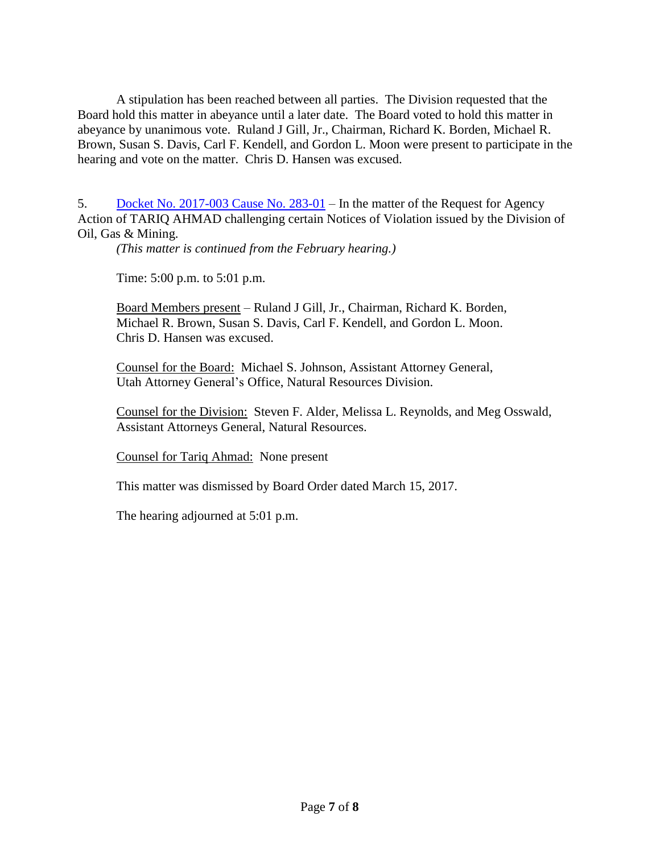A stipulation has been reached between all parties. The Division requested that the Board hold this matter in abeyance until a later date. The Board voted to hold this matter in abeyance by unanimous vote. Ruland J Gill, Jr., Chairman, Richard K. Borden, Michael R. Brown, Susan S. Davis, Carl F. Kendell, and Gordon L. Moon were present to participate in the hearing and vote on the matter. Chris D. Hansen was excused.

5. Docket No. [2017-003](http://ogm.utah.gov/amr/boardtemp/redesign/2017/03_Mar/Dockets/2017-003_283-01_Ahmad.php) Cause No. 283-01 – In the matter of the Request for Agency Action of TARIQ AHMAD challenging certain Notices of Violation issued by the Division of Oil, Gas & Mining.

*(This matter is continued from the February hearing.)*

Time: 5:00 p.m. to 5:01 p.m.

Board Members present – Ruland J Gill, Jr., Chairman, Richard K. Borden, Michael R. Brown, Susan S. Davis, Carl F. Kendell, and Gordon L. Moon. Chris D. Hansen was excused.

Counsel for the Board: Michael S. Johnson, Assistant Attorney General, Utah Attorney General's Office, Natural Resources Division.

Counsel for the Division: Steven F. Alder, Melissa L. Reynolds, and Meg Osswald, Assistant Attorneys General, Natural Resources.

Counsel for Tariq Ahmad: None present

This matter was dismissed by Board Order dated March 15, 2017.

The hearing adjourned at 5:01 p.m.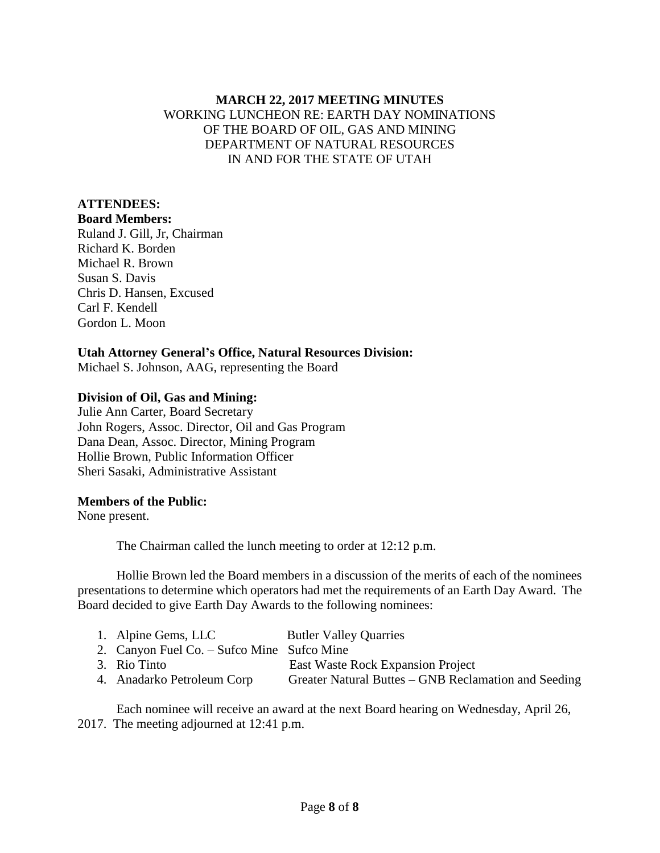## **MARCH 22, 2017 MEETING MINUTES** WORKING LUNCHEON RE: EARTH DAY NOMINATIONS OF THE BOARD OF OIL, GAS AND MINING DEPARTMENT OF NATURAL RESOURCES IN AND FOR THE STATE OF UTAH

## **ATTENDEES:**

**Board Members:** Ruland J. Gill, Jr, Chairman Richard K. Borden Michael R. Brown Susan S. Davis Chris D. Hansen, Excused Carl F. Kendell Gordon L. Moon

## **Utah Attorney General's Office, Natural Resources Division:**

Michael S. Johnson, AAG, representing the Board

## **Division of Oil, Gas and Mining:**

Julie Ann Carter, Board Secretary John Rogers, Assoc. Director, Oil and Gas Program Dana Dean, Assoc. Director, Mining Program Hollie Brown, Public Information Officer Sheri Sasaki, Administrative Assistant

#### **Members of the Public:**

None present.

The Chairman called the lunch meeting to order at 12:12 p.m.

Hollie Brown led the Board members in a discussion of the merits of each of the nominees presentations to determine which operators had met the requirements of an Earth Day Award. The Board decided to give Earth Day Awards to the following nominees:

| 1. Alpine Gems, LLC                        | <b>Butler Valley Quarries</b>                        |
|--------------------------------------------|------------------------------------------------------|
| 2. Canyon Fuel Co. – Sufco Mine Sufco Mine |                                                      |
| 3. Rio Tinto                               | East Waste Rock Expansion Project                    |
| 4. Anadarko Petroleum Corp                 | Greater Natural Buttes – GNB Reclamation and Seeding |

Each nominee will receive an award at the next Board hearing on Wednesday, April 26, 2017. The meeting adjourned at 12:41 p.m.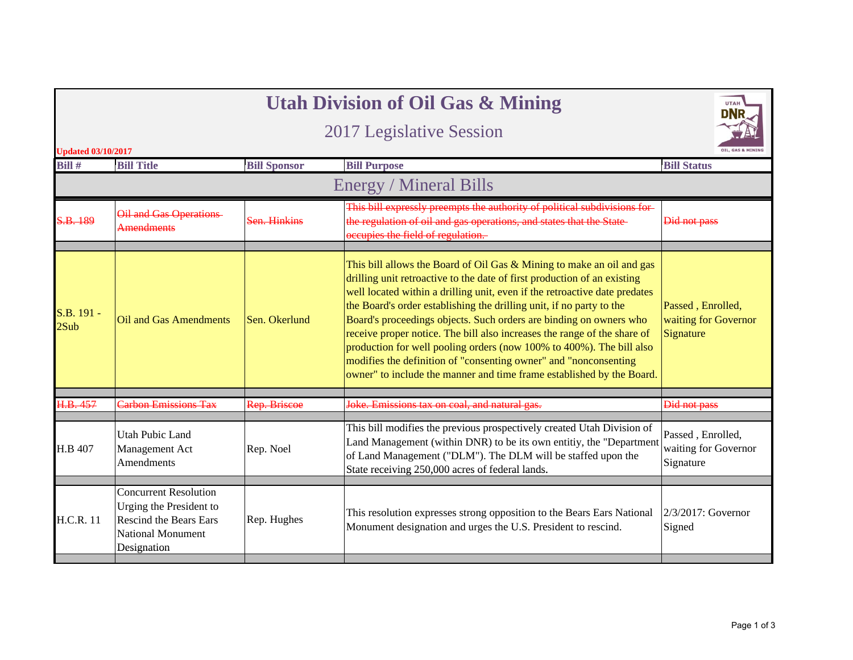|                           |                                                                                                                                     |                     | <b>Utah Division of Oil Gas &amp; Mining</b>                                                                                                                                                                                                                                                                                                                                                                                                                                                                                                                                                                                                                                     | UTAH                                                   |
|---------------------------|-------------------------------------------------------------------------------------------------------------------------------------|---------------------|----------------------------------------------------------------------------------------------------------------------------------------------------------------------------------------------------------------------------------------------------------------------------------------------------------------------------------------------------------------------------------------------------------------------------------------------------------------------------------------------------------------------------------------------------------------------------------------------------------------------------------------------------------------------------------|--------------------------------------------------------|
|                           |                                                                                                                                     |                     |                                                                                                                                                                                                                                                                                                                                                                                                                                                                                                                                                                                                                                                                                  |                                                        |
| <b>Updated 03/10/2017</b> |                                                                                                                                     |                     |                                                                                                                                                                                                                                                                                                                                                                                                                                                                                                                                                                                                                                                                                  |                                                        |
| Bill #                    | <b>Bill Title</b>                                                                                                                   | <b>Bill Sponsor</b> | <b>Bill Purpose</b>                                                                                                                                                                                                                                                                                                                                                                                                                                                                                                                                                                                                                                                              | <b>Bill Status</b>                                     |
|                           |                                                                                                                                     |                     | <b>Energy / Mineral Bills</b>                                                                                                                                                                                                                                                                                                                                                                                                                                                                                                                                                                                                                                                    |                                                        |
| S.B. 189                  | Oil and Gas Operations-<br><b>Amendments</b>                                                                                        | Sen. Hinkins        | This bill expressly preempts the authority of political subdivisions for-<br>the regulation of oil and gas operations, and states that the State<br>occupies the field of regulation.                                                                                                                                                                                                                                                                                                                                                                                                                                                                                            | Did not pass                                           |
| S.B. 191 -<br>2Sub        | Oil and Gas Amendments                                                                                                              | Sen. Okerlund       | This bill allows the Board of Oil Gas $&$ Mining to make an oil and gas<br>drilling unit retroactive to the date of first production of an existing<br>well located within a drilling unit, even if the retroactive date predates<br>the Board's order establishing the drilling unit, if no party to the<br>Board's proceedings objects. Such orders are binding on owners who<br>receive proper notice. The bill also increases the range of the share of<br>production for well pooling orders (now 100% to 400%). The bill also<br>modifies the definition of "consenting owner" and "nonconsenting<br>owner" to include the manner and time frame established by the Board. | Passed, Enrolled,<br>waiting for Governor<br>Signature |
| H.B. 457                  | <b>Carbon Emissions Tax</b>                                                                                                         | Rep. Briscoe        | Joke. Emissions tax on coal, and natural gas.                                                                                                                                                                                                                                                                                                                                                                                                                                                                                                                                                                                                                                    | Did not pass                                           |
|                           |                                                                                                                                     |                     |                                                                                                                                                                                                                                                                                                                                                                                                                                                                                                                                                                                                                                                                                  |                                                        |
| H.B 407                   | Utah Pubic Land<br>Management Act<br>Amendments                                                                                     | Rep. Noel           | This bill modifies the previous prospectively created Utah Division of<br>Land Management (within DNR) to be its own entitiy, the "Department<br>of Land Management ("DLM"). The DLM will be staffed upon the<br>State receiving 250,000 acres of federal lands.                                                                                                                                                                                                                                                                                                                                                                                                                 | Passed, Enrolled,<br>waiting for Governor<br>Signature |
|                           |                                                                                                                                     |                     |                                                                                                                                                                                                                                                                                                                                                                                                                                                                                                                                                                                                                                                                                  |                                                        |
| <b>H.C.R. 11</b>          | <b>Concurrent Resolution</b><br>Urging the President to<br><b>Rescind the Bears Ears</b><br><b>National Monument</b><br>Designation | Rep. Hughes         | This resolution expresses strong opposition to the Bears Ears National<br>Monument designation and urges the U.S. President to rescind.                                                                                                                                                                                                                                                                                                                                                                                                                                                                                                                                          | $2/3/2017$ : Governor<br>Signed                        |
|                           |                                                                                                                                     |                     |                                                                                                                                                                                                                                                                                                                                                                                                                                                                                                                                                                                                                                                                                  |                                                        |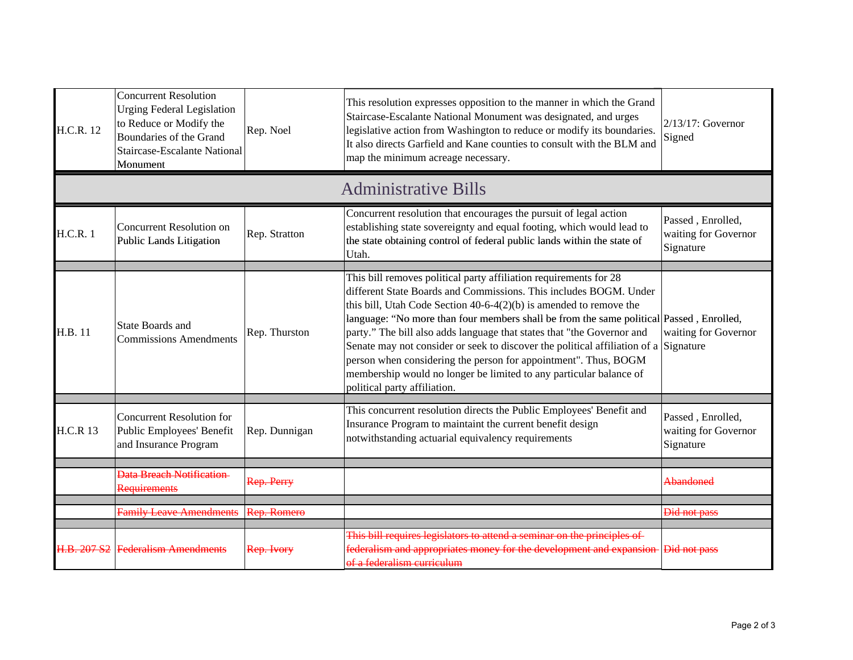| <b>H.C.R. 12</b> | <b>Concurrent Resolution</b><br><b>Urging Federal Legislation</b><br>to Reduce or Modify the<br>Boundaries of the Grand<br><b>Staircase-Escalante National</b><br>Monument | Rep. Noel     | This resolution expresses opposition to the manner in which the Grand<br>Staircase-Escalante National Monument was designated, and urges<br>$2/13/17$ : Governor<br>legislative action from Washington to reduce or modify its boundaries.<br>Signed<br>It also directs Garfield and Kane counties to consult with the BLM and<br>map the minimum acreage necessary.                                                                                                                                                                                                                                                                                 |                                                        |
|------------------|----------------------------------------------------------------------------------------------------------------------------------------------------------------------------|---------------|------------------------------------------------------------------------------------------------------------------------------------------------------------------------------------------------------------------------------------------------------------------------------------------------------------------------------------------------------------------------------------------------------------------------------------------------------------------------------------------------------------------------------------------------------------------------------------------------------------------------------------------------------|--------------------------------------------------------|
|                  |                                                                                                                                                                            |               | <b>Administrative Bills</b>                                                                                                                                                                                                                                                                                                                                                                                                                                                                                                                                                                                                                          |                                                        |
| <b>H.C.R. 1</b>  | <b>Concurrent Resolution on</b><br><b>Public Lands Litigation</b>                                                                                                          | Rep. Stratton | Concurrent resolution that encourages the pursuit of legal action<br>establishing state sovereignty and equal footing, which would lead to<br>the state obtaining control of federal public lands within the state of<br>Utah.                                                                                                                                                                                                                                                                                                                                                                                                                       | Passed, Enrolled,<br>waiting for Governor<br>Signature |
| H.B. 11          | <b>State Boards and</b><br><b>Commissions Amendments</b>                                                                                                                   | Rep. Thurston | This bill removes political party affiliation requirements for 28<br>different State Boards and Commissions. This includes BOGM. Under<br>this bill, Utah Code Section $40-6-4(2)(b)$ is amended to remove the<br>language: "No more than four members shall be from the same political Passed, Enrolled,<br>party." The bill also adds language that states that "the Governor and<br>Senate may not consider or seek to discover the political affiliation of a Signature<br>person when considering the person for appointment". Thus, BOGM<br>membership would no longer be limited to any particular balance of<br>political party affiliation. | waiting for Governor                                   |
| <b>H.C.R 13</b>  | <b>Concurrent Resolution for</b><br>Public Employees' Benefit<br>and Insurance Program                                                                                     | Rep. Dunnigan | This concurrent resolution directs the Public Employees' Benefit and<br>Insurance Program to maintaint the current benefit design<br>notwithstanding actuarial equivalency requirements                                                                                                                                                                                                                                                                                                                                                                                                                                                              | Passed, Enrolled,<br>waiting for Governor<br>Signature |
|                  | Data Breach Notification<br>Requirements                                                                                                                                   | Rep. Perry    |                                                                                                                                                                                                                                                                                                                                                                                                                                                                                                                                                                                                                                                      | <b>Abandoned</b>                                       |
|                  | <b>Family Leave Amendments</b>                                                                                                                                             | Rep. Romero   |                                                                                                                                                                                                                                                                                                                                                                                                                                                                                                                                                                                                                                                      | <b>Did not pass</b>                                    |
| H.B. 207 S2      | Federalism Amendments                                                                                                                                                      | Rep. Ivory    | This bill requires legislators to attend a seminar on the principles of<br>federalism and appropriates money for the development and expansion<br>of a federalism curriculum                                                                                                                                                                                                                                                                                                                                                                                                                                                                         | <b>Did not pass</b>                                    |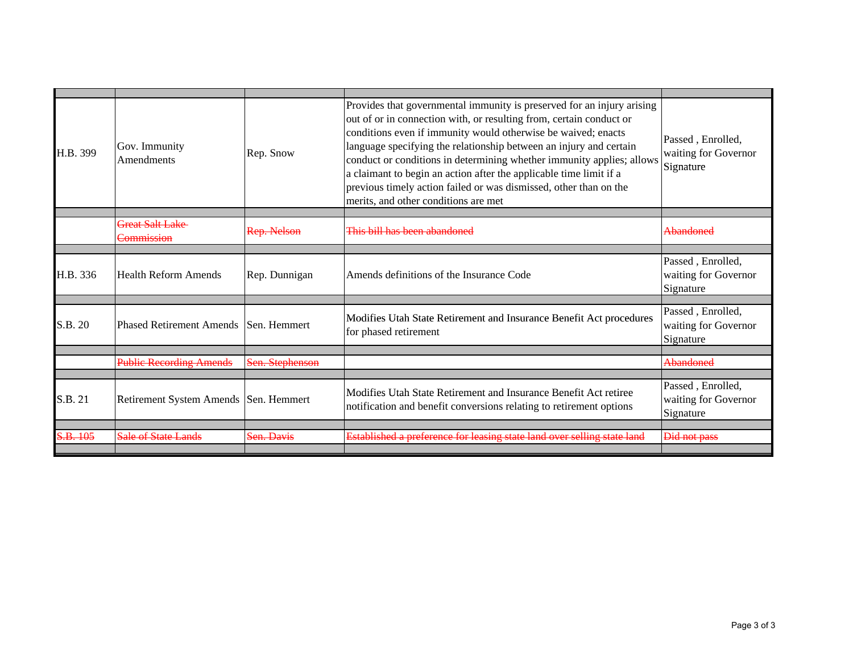| H.B. 399 | out of or in connection with, or resulting from, certain conduct or<br>conditions even if immunity would otherwise be waived; enacts<br>language specifying the relationship between an injury and certain<br>Gov. Immunity<br>Rep. Snow<br>Amendments<br>a claimant to begin an action after the applicable time limit if a<br>previous timely action failed or was dismissed, other than on the |                                                                                                  | Provides that governmental immunity is preserved for an injury arising<br>conduct or conditions in determining whether immunity applies; allows<br>merits, and other conditions are met | Passed, Enrolled,<br>waiting for Governor<br>Signature |
|----------|---------------------------------------------------------------------------------------------------------------------------------------------------------------------------------------------------------------------------------------------------------------------------------------------------------------------------------------------------------------------------------------------------|--------------------------------------------------------------------------------------------------|-----------------------------------------------------------------------------------------------------------------------------------------------------------------------------------------|--------------------------------------------------------|
|          |                                                                                                                                                                                                                                                                                                                                                                                                   |                                                                                                  |                                                                                                                                                                                         |                                                        |
|          | Great Salt Lake<br><del>Commission</del>                                                                                                                                                                                                                                                                                                                                                          | Rep. Nelson                                                                                      | This bill has been abandoned                                                                                                                                                            | Abandoned                                              |
|          |                                                                                                                                                                                                                                                                                                                                                                                                   |                                                                                                  |                                                                                                                                                                                         |                                                        |
| H.B. 336 | <b>Health Reform Amends</b>                                                                                                                                                                                                                                                                                                                                                                       | Rep. Dunnigan                                                                                    | Amends definitions of the Insurance Code                                                                                                                                                | Passed, Enrolled,<br>waiting for Governor<br>Signature |
|          |                                                                                                                                                                                                                                                                                                                                                                                                   |                                                                                                  |                                                                                                                                                                                         |                                                        |
| S.B. 20  | <b>Phased Retirement Amends Sen. Hemmert</b><br>for phased retirement                                                                                                                                                                                                                                                                                                                             |                                                                                                  | Modifies Utah State Retirement and Insurance Benefit Act procedures                                                                                                                     | Passed, Enrolled,<br>waiting for Governor<br>Signature |
|          |                                                                                                                                                                                                                                                                                                                                                                                                   |                                                                                                  |                                                                                                                                                                                         |                                                        |
|          | <b>Public Recording Amends</b>                                                                                                                                                                                                                                                                                                                                                                    | Sen. Stephenson                                                                                  |                                                                                                                                                                                         | <del>Abandoned</del>                                   |
|          |                                                                                                                                                                                                                                                                                                                                                                                                   |                                                                                                  |                                                                                                                                                                                         |                                                        |
| S.B. 21  | Retirement System Amends   Sen. Hemmert                                                                                                                                                                                                                                                                                                                                                           |                                                                                                  | Modifies Utah State Retirement and Insurance Benefit Act retiree<br>notification and benefit conversions relating to retirement options                                                 | Passed, Enrolled,<br>waiting for Governor<br>Signature |
|          |                                                                                                                                                                                                                                                                                                                                                                                                   |                                                                                                  |                                                                                                                                                                                         |                                                        |
| S.B. 105 | Sale of State Lands                                                                                                                                                                                                                                                                                                                                                                               | Established a preference for leasing state land over selling state land<br><del>Sen. Davis</del> |                                                                                                                                                                                         | <del>Did not pass</del>                                |
|          |                                                                                                                                                                                                                                                                                                                                                                                                   |                                                                                                  |                                                                                                                                                                                         |                                                        |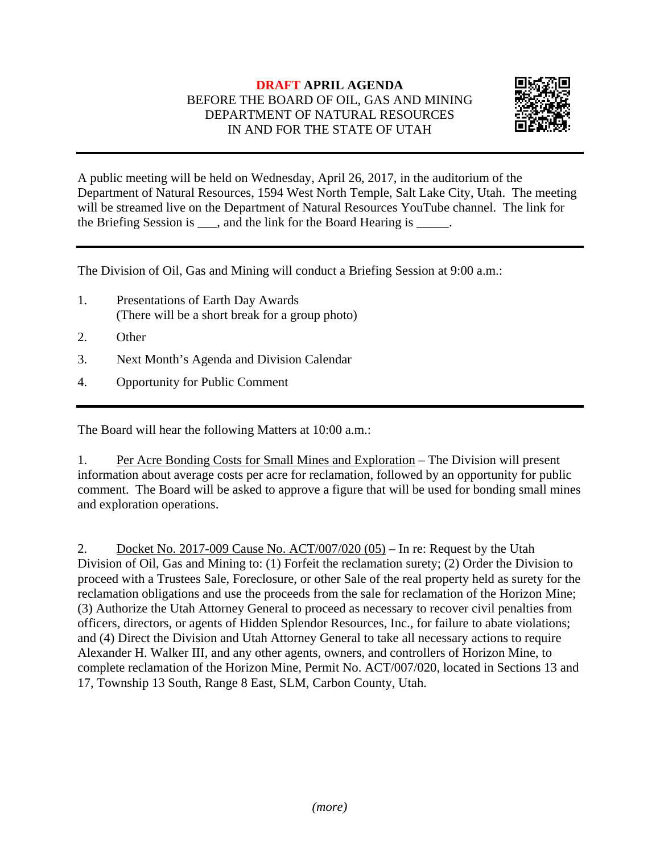## **DRAFT APRIL AGENDA**  BEFORE THE BOARD OF OIL, GAS AND MINING DEPARTMENT OF NATURAL RESOURCES IN AND FOR THE STATE OF UTAH



A public meeting will be held on Wednesday, April 26, 2017, in the auditorium of the Department of Natural Resources, 1594 West North Temple, Salt Lake City, Utah. The meeting will be streamed live on the Department of Natural Resources YouTube channel. The link for the Briefing Session is  $\_\_\_\$ , and the link for the Board Hearing is  $\_\_\_\_\$ .

The Division of Oil, Gas and Mining will conduct a Briefing Session at 9:00 a.m.:

- 1. Presentations of Earth Day Awards (There will be a short break for a group photo)
- 2. Other
- 3. Next Month's Agenda and Division Calendar
- 4. Opportunity for Public Comment

The Board will hear the following Matters at 10:00 a.m.:

1. Per Acre Bonding Costs for Small Mines and Exploration – The Division will present information about average costs per acre for reclamation, followed by an opportunity for public comment. The Board will be asked to approve a figure that will be used for bonding small mines and exploration operations.

2. Docket No. 2017-009 Cause No.  $\text{ACT}/007/020(05)$  – In re: Request by the Utah Division of Oil, Gas and Mining to: (1) Forfeit the reclamation surety; (2) Order the Division to proceed with a Trustees Sale, Foreclosure, or other Sale of the real property held as surety for the reclamation obligations and use the proceeds from the sale for reclamation of the Horizon Mine; (3) Authorize the Utah Attorney General to proceed as necessary to recover civil penalties from officers, directors, or agents of Hidden Splendor Resources, Inc., for failure to abate violations; and (4) Direct the Division and Utah Attorney General to take all necessary actions to require Alexander H. Walker III, and any other agents, owners, and controllers of Horizon Mine, to complete reclamation of the Horizon Mine, Permit No. ACT/007/020, located in Sections 13 and 17, Township 13 South, Range 8 East, SLM, Carbon County, Utah.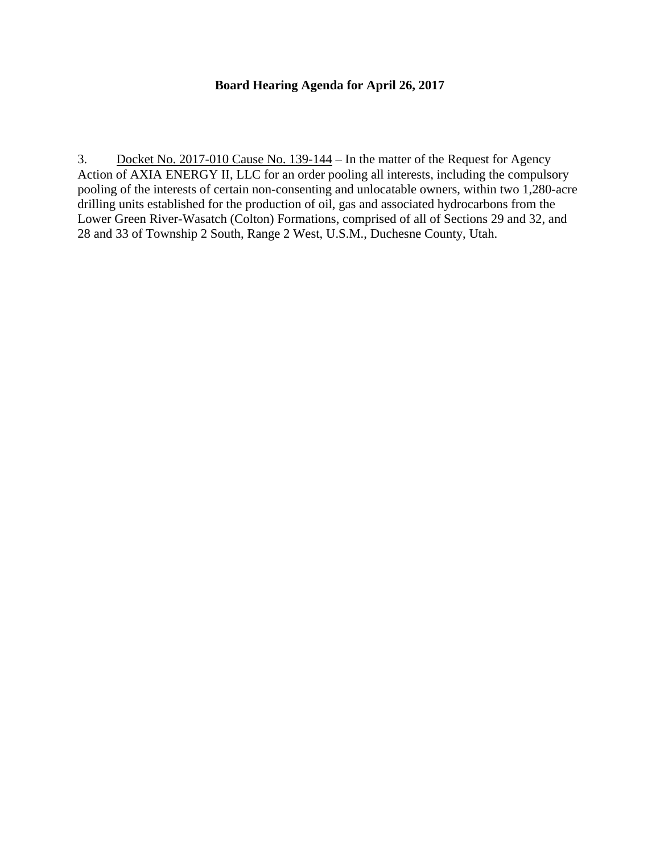## **Board Hearing Agenda for April 26, 2017**

3. Docket No. 2017-010 Cause No. 139-144 – In the matter of the Request for Agency Action of AXIA ENERGY II, LLC for an order pooling all interests, including the compulsory pooling of the interests of certain non-consenting and unlocatable owners, within two 1,280-acre drilling units established for the production of oil, gas and associated hydrocarbons from the Lower Green River-Wasatch (Colton) Formations, comprised of all of Sections 29 and 32, and 28 and 33 of Township 2 South, Range 2 West, U.S.M., Duchesne County, Utah.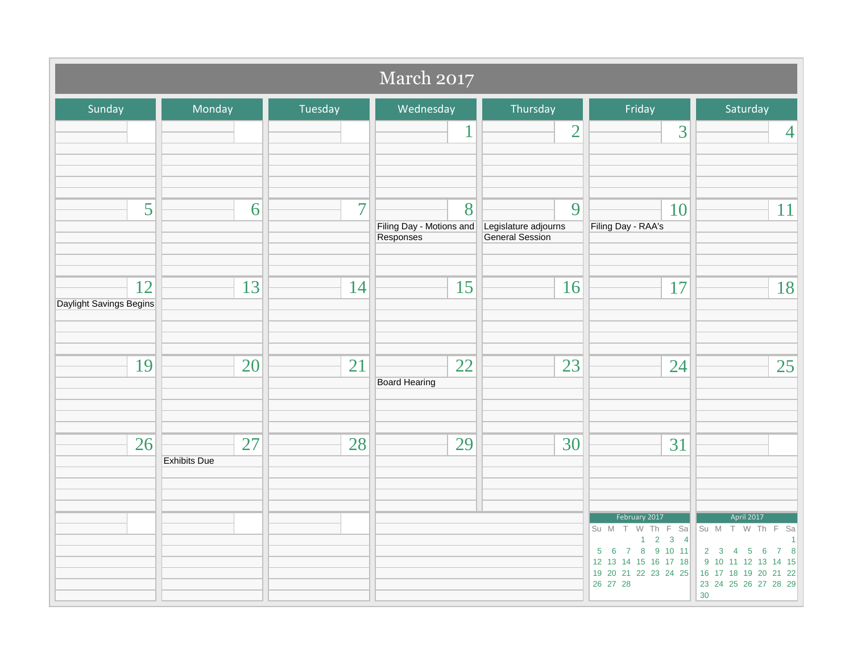| March 2017                    |                           |                |                                            |                                              |                                                                                                                                                               |                                                                                                                              |
|-------------------------------|---------------------------|----------------|--------------------------------------------|----------------------------------------------|---------------------------------------------------------------------------------------------------------------------------------------------------------------|------------------------------------------------------------------------------------------------------------------------------|
| Sunday                        | Monday                    | Tuesday        | Wednesday                                  | Thursday                                     | Friday                                                                                                                                                        | Saturday                                                                                                                     |
|                               |                           |                | 1                                          | $\overline{2}$                               | 3                                                                                                                                                             | $\overline{4}$                                                                                                               |
| 5                             | 6                         | $\overline{7}$ | 8<br>Filing Day - Motions and<br>Responses | 9<br>Legislature adjourns<br>General Session | 10<br>Filing Day - RAA's                                                                                                                                      | 11                                                                                                                           |
| 12<br>Daylight Savings Begins | 13                        | 14             | 15                                         | 16                                           | 17                                                                                                                                                            | 18                                                                                                                           |
| 19                            | 20                        | 21             | 22<br><b>Board Hearing</b>                 | 23                                           | 24                                                                                                                                                            | 25                                                                                                                           |
| 26                            | 27<br><b>Exhibits Due</b> | 28             | 29                                         | 30                                           | 31                                                                                                                                                            |                                                                                                                              |
|                               |                           |                |                                            |                                              | February 2017<br>Su M T W Th F Sa<br>$1 \quad 2 \quad 3 \quad 4$<br>$5 \t6 \t7 \t8 \t9 \t10 \t11$<br>12 13 14 15 16 17 18<br>19 20 21 22 23 24 25<br>26 27 28 | April 2017<br>Su M T W Th F Sa<br>2 3 4 5 6 7 8<br>9 10 11 12 13 14 15<br>16 17 18 19 20 21 22<br>23 24 25 26 27 28 29<br>30 |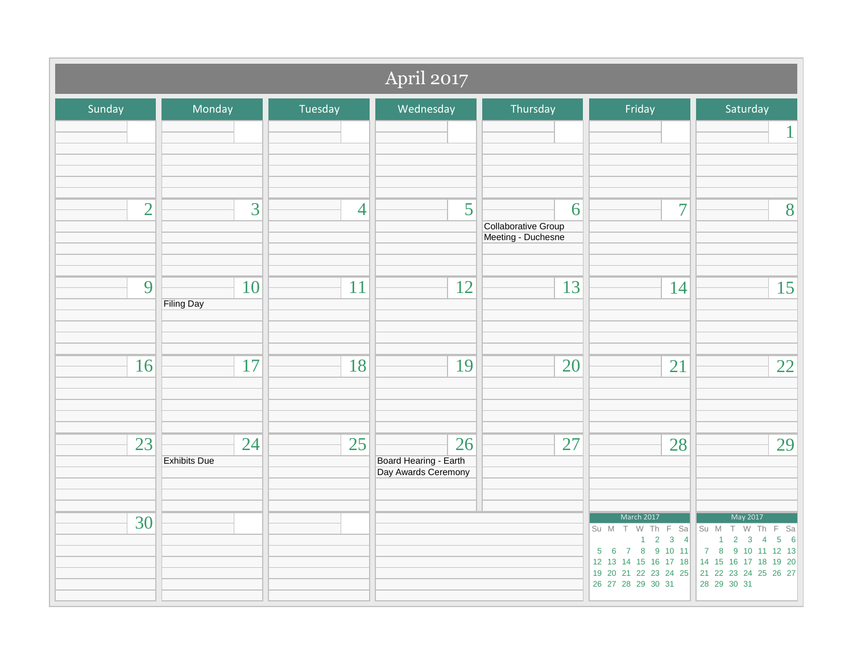|                | April 2017                |                |                                                    |                                                |                                                                                                                     |                                                                                                                                                                                                                                |  |
|----------------|---------------------------|----------------|----------------------------------------------------|------------------------------------------------|---------------------------------------------------------------------------------------------------------------------|--------------------------------------------------------------------------------------------------------------------------------------------------------------------------------------------------------------------------------|--|
| Sunday         | Monday                    | Tuesday        | Wednesday                                          | Thursday                                       | Friday                                                                                                              | Saturday                                                                                                                                                                                                                       |  |
|                |                           |                |                                                    |                                                |                                                                                                                     | 1                                                                                                                                                                                                                              |  |
| $\overline{2}$ | $\overline{3}$            | $\overline{4}$ | 5                                                  | 6<br>Collaborative Group<br>Meeting - Duchesne | $\overline{7}$                                                                                                      | 8                                                                                                                                                                                                                              |  |
| 9              | 10<br><b>Filing Day</b>   | 11             | 12                                                 | 13                                             | 14                                                                                                                  | 15                                                                                                                                                                                                                             |  |
| 16             | 17                        | 18             | 19                                                 | 20                                             | 21                                                                                                                  | 22                                                                                                                                                                                                                             |  |
| 23             | 24<br><b>Exhibits Due</b> | 25             | 26<br>Board Hearing - Earth<br>Day Awards Ceremony | 27                                             | 28                                                                                                                  | 29                                                                                                                                                                                                                             |  |
| 30             |                           |                |                                                    |                                                | March 2017<br>Su M T W Th F Sa<br>$1 \quad 2 \quad 3 \quad 4$<br>$5 \t6 \t7 \t8 \t9 \t10 \t11$<br>26 27 28 29 30 31 | May 2017<br>Su M T W Th F Sa<br>$1 \quad 2 \quad 3 \quad 4$<br>$\overline{5}$<br>$6\overline{6}$<br>7 8 9 10 11 12 13<br>12 13 14 15 16 17 18 14 15 16 17 18 19 20<br>19 20 21 22 23 24 25 21 22 23 24 25 26 27<br>28 29 30 31 |  |